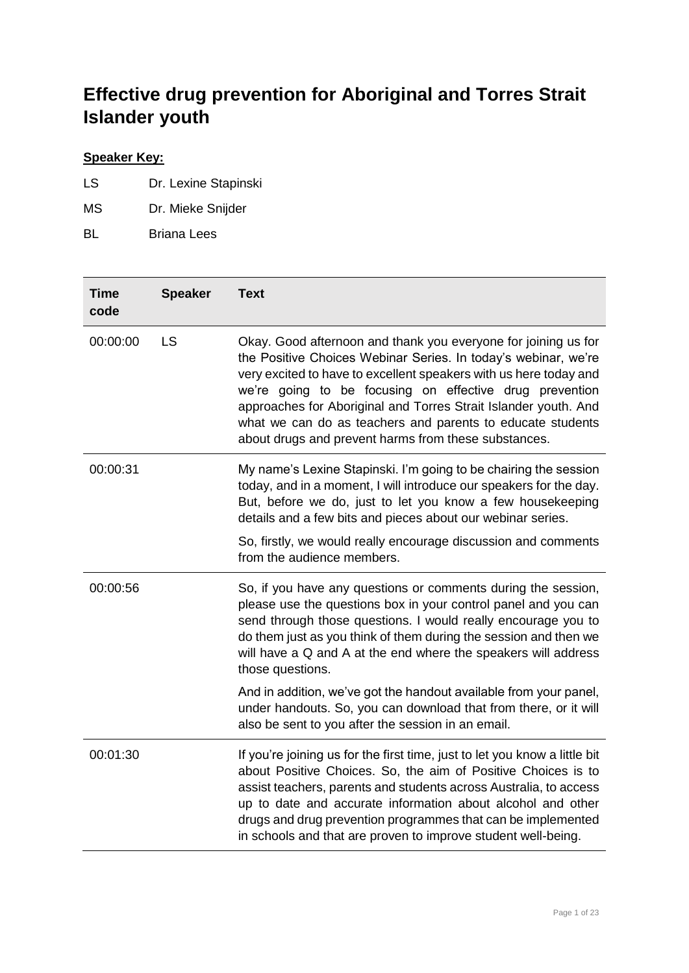## **Effective drug prevention for Aboriginal and Torres Strait Islander youth**

## **Speaker Key:**

- LS Dr. Lexine Stapinski
- MS Dr. Mieke Snijder
- BL Briana Lees

| <b>Time</b><br>code | <b>Speaker</b> | <b>Text</b>                                                                                                                                                                                                                                                                                                                                                                                                                                               |
|---------------------|----------------|-----------------------------------------------------------------------------------------------------------------------------------------------------------------------------------------------------------------------------------------------------------------------------------------------------------------------------------------------------------------------------------------------------------------------------------------------------------|
| 00:00:00            | <b>LS</b>      | Okay. Good afternoon and thank you everyone for joining us for<br>the Positive Choices Webinar Series. In today's webinar, we're<br>very excited to have to excellent speakers with us here today and<br>we're going to be focusing on effective drug prevention<br>approaches for Aboriginal and Torres Strait Islander youth. And<br>what we can do as teachers and parents to educate students<br>about drugs and prevent harms from these substances. |
| 00:00:31            |                | My name's Lexine Stapinski. I'm going to be chairing the session<br>today, and in a moment, I will introduce our speakers for the day.<br>But, before we do, just to let you know a few housekeeping<br>details and a few bits and pieces about our webinar series.                                                                                                                                                                                       |
|                     |                | So, firstly, we would really encourage discussion and comments<br>from the audience members.                                                                                                                                                                                                                                                                                                                                                              |
| 00:00:56            |                | So, if you have any questions or comments during the session,<br>please use the questions box in your control panel and you can<br>send through those questions. I would really encourage you to<br>do them just as you think of them during the session and then we<br>will have a Q and A at the end where the speakers will address<br>those questions.                                                                                                |
|                     |                | And in addition, we've got the handout available from your panel,<br>under handouts. So, you can download that from there, or it will<br>also be sent to you after the session in an email.                                                                                                                                                                                                                                                               |
| 00:01:30            |                | If you're joining us for the first time, just to let you know a little bit<br>about Positive Choices. So, the aim of Positive Choices is to<br>assist teachers, parents and students across Australia, to access<br>up to date and accurate information about alcohol and other<br>drugs and drug prevention programmes that can be implemented<br>in schools and that are proven to improve student well-being.                                          |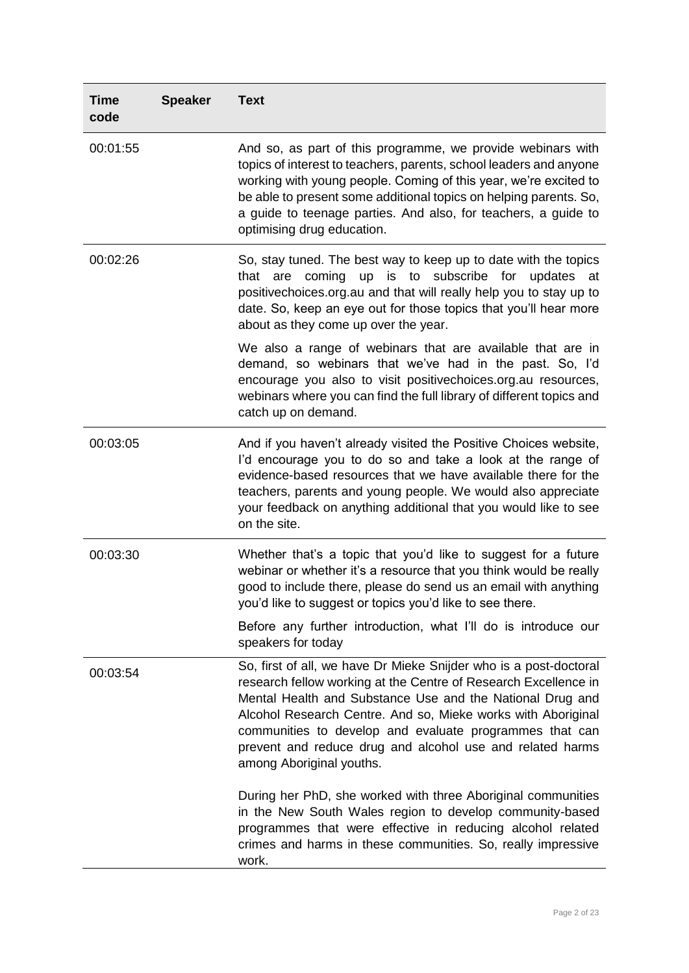| <b>Time</b><br>code | <b>Speaker</b> | <b>Text</b>                                                                                                                                                                                                                                                                                                                                                                                                           |
|---------------------|----------------|-----------------------------------------------------------------------------------------------------------------------------------------------------------------------------------------------------------------------------------------------------------------------------------------------------------------------------------------------------------------------------------------------------------------------|
| 00:01:55            |                | And so, as part of this programme, we provide webinars with<br>topics of interest to teachers, parents, school leaders and anyone<br>working with young people. Coming of this year, we're excited to<br>be able to present some additional topics on helping parents. So,<br>a guide to teenage parties. And also, for teachers, a guide to<br>optimising drug education.                                            |
| 00:02:26            |                | So, stay tuned. The best way to keep up to date with the topics<br>that are coming up is to subscribe for updates at<br>positivechoices.org.au and that will really help you to stay up to<br>date. So, keep an eye out for those topics that you'll hear more<br>about as they come up over the year.                                                                                                                |
|                     |                | We also a range of webinars that are available that are in<br>demand, so webinars that we've had in the past. So, I'd<br>encourage you also to visit positivechoices.org.au resources,<br>webinars where you can find the full library of different topics and<br>catch up on demand.                                                                                                                                 |
| 00:03:05            |                | And if you haven't already visited the Positive Choices website,<br>I'd encourage you to do so and take a look at the range of<br>evidence-based resources that we have available there for the<br>teachers, parents and young people. We would also appreciate<br>your feedback on anything additional that you would like to see<br>on the site.                                                                    |
| 00:03:30            |                | Whether that's a topic that you'd like to suggest for a future<br>webinar or whether it's a resource that you think would be really<br>good to include there, please do send us an email with anything<br>you'd like to suggest or topics you'd like to see there.                                                                                                                                                    |
|                     |                | Before any further introduction, what I'll do is introduce our<br>speakers for today                                                                                                                                                                                                                                                                                                                                  |
| 00:03:54            |                | So, first of all, we have Dr Mieke Snijder who is a post-doctoral<br>research fellow working at the Centre of Research Excellence in<br>Mental Health and Substance Use and the National Drug and<br>Alcohol Research Centre. And so, Mieke works with Aboriginal<br>communities to develop and evaluate programmes that can<br>prevent and reduce drug and alcohol use and related harms<br>among Aboriginal youths. |
|                     |                | During her PhD, she worked with three Aboriginal communities<br>in the New South Wales region to develop community-based<br>programmes that were effective in reducing alcohol related<br>crimes and harms in these communities. So, really impressive<br>work.                                                                                                                                                       |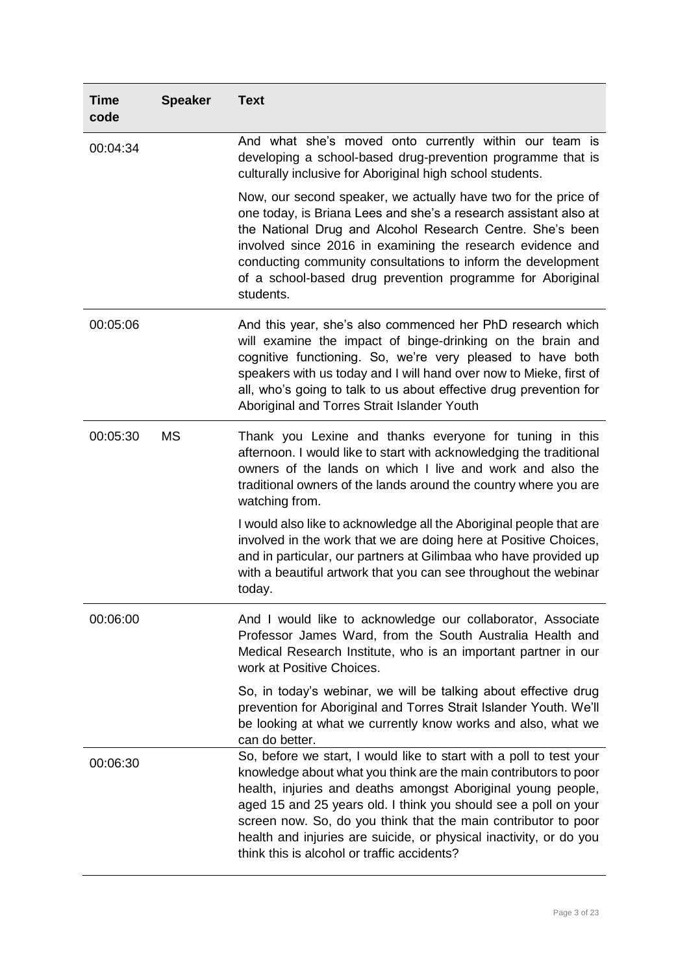| <b>Time</b><br>code | <b>Speaker</b> | <b>Text</b>                                                                                                                                                                                                                                                                                                                                                                                                                                                       |
|---------------------|----------------|-------------------------------------------------------------------------------------------------------------------------------------------------------------------------------------------------------------------------------------------------------------------------------------------------------------------------------------------------------------------------------------------------------------------------------------------------------------------|
| 00:04:34            |                | And what she's moved onto currently within our team is<br>developing a school-based drug-prevention programme that is<br>culturally inclusive for Aboriginal high school students.                                                                                                                                                                                                                                                                                |
|                     |                | Now, our second speaker, we actually have two for the price of<br>one today, is Briana Lees and she's a research assistant also at<br>the National Drug and Alcohol Research Centre. She's been<br>involved since 2016 in examining the research evidence and<br>conducting community consultations to inform the development<br>of a school-based drug prevention programme for Aboriginal<br>students.                                                          |
| 00:05:06            |                | And this year, she's also commenced her PhD research which<br>will examine the impact of binge-drinking on the brain and<br>cognitive functioning. So, we're very pleased to have both<br>speakers with us today and I will hand over now to Mieke, first of<br>all, who's going to talk to us about effective drug prevention for<br>Aboriginal and Torres Strait Islander Youth                                                                                 |
| 00:05:30            | <b>MS</b>      | Thank you Lexine and thanks everyone for tuning in this<br>afternoon. I would like to start with acknowledging the traditional<br>owners of the lands on which I live and work and also the<br>traditional owners of the lands around the country where you are<br>watching from.                                                                                                                                                                                 |
|                     |                | I would also like to acknowledge all the Aboriginal people that are<br>involved in the work that we are doing here at Positive Choices,<br>and in particular, our partners at Gilimbaa who have provided up<br>with a beautiful artwork that you can see throughout the webinar<br>today.                                                                                                                                                                         |
| 00:06:00            |                | And I would like to acknowledge our collaborator, Associate<br>Professor James Ward, from the South Australia Health and<br>Medical Research Institute, who is an important partner in our<br>work at Positive Choices.                                                                                                                                                                                                                                           |
|                     |                | So, in today's webinar, we will be talking about effective drug<br>prevention for Aboriginal and Torres Strait Islander Youth. We'll<br>be looking at what we currently know works and also, what we<br>can do better.                                                                                                                                                                                                                                            |
| 00:06:30            |                | So, before we start, I would like to start with a poll to test your<br>knowledge about what you think are the main contributors to poor<br>health, injuries and deaths amongst Aboriginal young people,<br>aged 15 and 25 years old. I think you should see a poll on your<br>screen now. So, do you think that the main contributor to poor<br>health and injuries are suicide, or physical inactivity, or do you<br>think this is alcohol or traffic accidents? |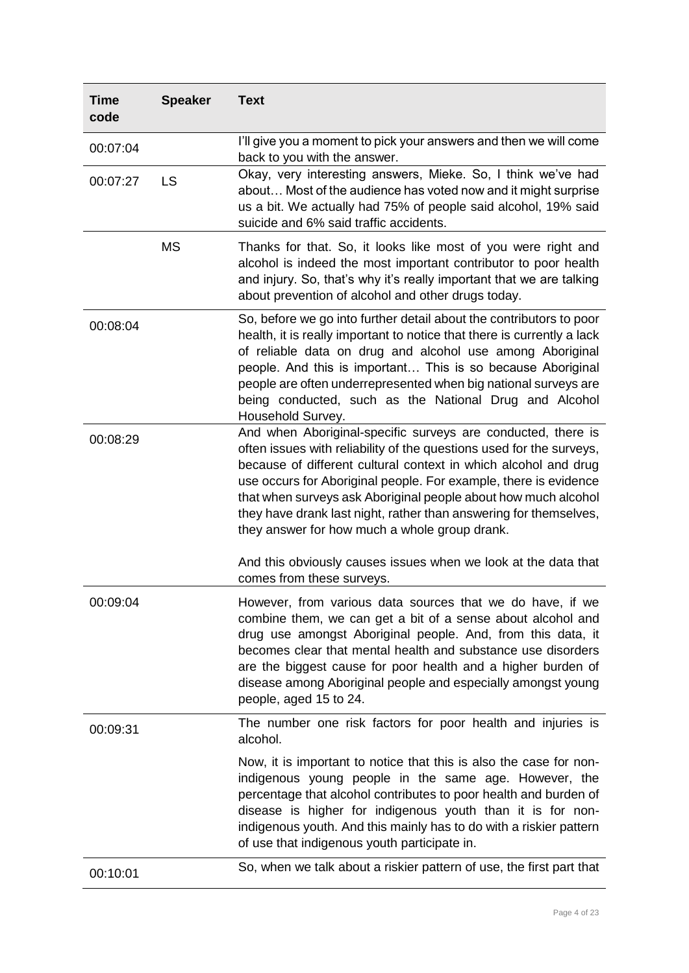| <b>Time</b><br>code | <b>Speaker</b> | <b>Text</b>                                                                                                                                                                                                                                                                                                                                                                                                                                                         |
|---------------------|----------------|---------------------------------------------------------------------------------------------------------------------------------------------------------------------------------------------------------------------------------------------------------------------------------------------------------------------------------------------------------------------------------------------------------------------------------------------------------------------|
| 00:07:04            |                | I'll give you a moment to pick your answers and then we will come<br>back to you with the answer.                                                                                                                                                                                                                                                                                                                                                                   |
| 00:07:27            | <b>LS</b>      | Okay, very interesting answers, Mieke. So, I think we've had<br>about Most of the audience has voted now and it might surprise<br>us a bit. We actually had 75% of people said alcohol, 19% said<br>suicide and 6% said traffic accidents.                                                                                                                                                                                                                          |
|                     | <b>MS</b>      | Thanks for that. So, it looks like most of you were right and<br>alcohol is indeed the most important contributor to poor health<br>and injury. So, that's why it's really important that we are talking<br>about prevention of alcohol and other drugs today.                                                                                                                                                                                                      |
| 00:08:04            |                | So, before we go into further detail about the contributors to poor<br>health, it is really important to notice that there is currently a lack<br>of reliable data on drug and alcohol use among Aboriginal<br>people. And this is important This is so because Aboriginal<br>people are often underrepresented when big national surveys are<br>being conducted, such as the National Drug and Alcohol<br>Household Survey.                                        |
| 00:08:29            |                | And when Aboriginal-specific surveys are conducted, there is<br>often issues with reliability of the questions used for the surveys,<br>because of different cultural context in which alcohol and drug<br>use occurs for Aboriginal people. For example, there is evidence<br>that when surveys ask Aboriginal people about how much alcohol<br>they have drank last night, rather than answering for themselves,<br>they answer for how much a whole group drank. |
|                     |                | And this obviously causes issues when we look at the data that<br>comes from these surveys.                                                                                                                                                                                                                                                                                                                                                                         |
| 00:09:04            |                | However, from various data sources that we do have, if we<br>combine them, we can get a bit of a sense about alcohol and<br>drug use amongst Aboriginal people. And, from this data, it<br>becomes clear that mental health and substance use disorders<br>are the biggest cause for poor health and a higher burden of<br>disease among Aboriginal people and especially amongst young<br>people, aged 15 to 24.                                                   |
| 00:09:31            |                | The number one risk factors for poor health and injuries is<br>alcohol.                                                                                                                                                                                                                                                                                                                                                                                             |
|                     |                | Now, it is important to notice that this is also the case for non-<br>indigenous young people in the same age. However, the<br>percentage that alcohol contributes to poor health and burden of<br>disease is higher for indigenous youth than it is for non-<br>indigenous youth. And this mainly has to do with a riskier pattern<br>of use that indigenous youth participate in.                                                                                 |
| 00:10:01            |                | So, when we talk about a riskier pattern of use, the first part that                                                                                                                                                                                                                                                                                                                                                                                                |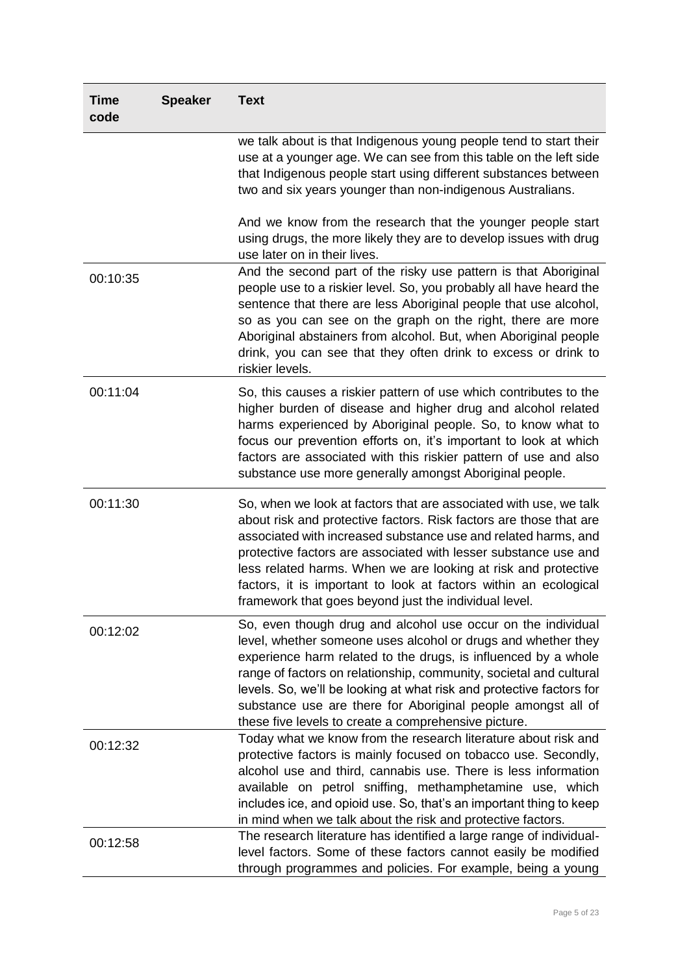| <b>Time</b><br>code | <b>Speaker</b> | <b>Text</b>                                                                                                                                                                                                                                                                                                                                                                                                                                                                 |
|---------------------|----------------|-----------------------------------------------------------------------------------------------------------------------------------------------------------------------------------------------------------------------------------------------------------------------------------------------------------------------------------------------------------------------------------------------------------------------------------------------------------------------------|
|                     |                | we talk about is that Indigenous young people tend to start their<br>use at a younger age. We can see from this table on the left side<br>that Indigenous people start using different substances between<br>two and six years younger than non-indigenous Australians.                                                                                                                                                                                                     |
|                     |                | And we know from the research that the younger people start<br>using drugs, the more likely they are to develop issues with drug<br>use later on in their lives.                                                                                                                                                                                                                                                                                                            |
| 00:10:35            |                | And the second part of the risky use pattern is that Aboriginal<br>people use to a riskier level. So, you probably all have heard the<br>sentence that there are less Aboriginal people that use alcohol,<br>so as you can see on the graph on the right, there are more<br>Aboriginal abstainers from alcohol. But, when Aboriginal people<br>drink, you can see that they often drink to excess or drink to<br>riskier levels.                                            |
| 00:11:04            |                | So, this causes a riskier pattern of use which contributes to the<br>higher burden of disease and higher drug and alcohol related<br>harms experienced by Aboriginal people. So, to know what to<br>focus our prevention efforts on, it's important to look at which<br>factors are associated with this riskier pattern of use and also<br>substance use more generally amongst Aboriginal people.                                                                         |
| 00:11:30            |                | So, when we look at factors that are associated with use, we talk<br>about risk and protective factors. Risk factors are those that are<br>associated with increased substance use and related harms, and<br>protective factors are associated with lesser substance use and<br>less related harms. When we are looking at risk and protective<br>factors, it is important to look at factors within an ecological<br>framework that goes beyond just the individual level. |
| 00:12:02            |                | So, even though drug and alcohol use occur on the individual<br>level, whether someone uses alcohol or drugs and whether they<br>experience harm related to the drugs, is influenced by a whole<br>range of factors on relationship, community, societal and cultural<br>levels. So, we'll be looking at what risk and protective factors for<br>substance use are there for Aboriginal people amongst all of<br>these five levels to create a comprehensive picture.       |
| 00:12:32            |                | Today what we know from the research literature about risk and<br>protective factors is mainly focused on tobacco use. Secondly,<br>alcohol use and third, cannabis use. There is less information<br>available on petrol sniffing, methamphetamine use, which<br>includes ice, and opioid use. So, that's an important thing to keep<br>in mind when we talk about the risk and protective factors.                                                                        |
| 00:12:58            |                | The research literature has identified a large range of individual-<br>level factors. Some of these factors cannot easily be modified<br>through programmes and policies. For example, being a young                                                                                                                                                                                                                                                                        |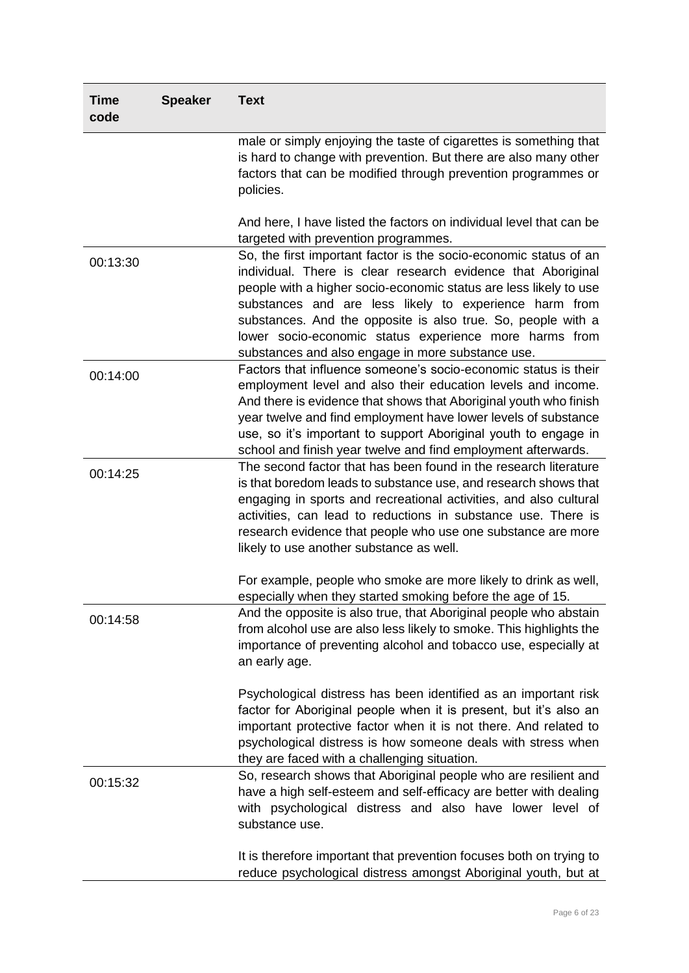| <b>Time</b><br>code | <b>Speaker</b> | <b>Text</b>                                                                                                                                                                                                                                                                                                                                                                                                                                     |
|---------------------|----------------|-------------------------------------------------------------------------------------------------------------------------------------------------------------------------------------------------------------------------------------------------------------------------------------------------------------------------------------------------------------------------------------------------------------------------------------------------|
|                     |                | male or simply enjoying the taste of cigarettes is something that<br>is hard to change with prevention. But there are also many other<br>factors that can be modified through prevention programmes or<br>policies.                                                                                                                                                                                                                             |
|                     |                | And here, I have listed the factors on individual level that can be<br>targeted with prevention programmes.                                                                                                                                                                                                                                                                                                                                     |
| 00:13:30            |                | So, the first important factor is the socio-economic status of an<br>individual. There is clear research evidence that Aboriginal<br>people with a higher socio-economic status are less likely to use<br>substances and are less likely to experience harm from<br>substances. And the opposite is also true. So, people with a<br>lower socio-economic status experience more harms from<br>substances and also engage in more substance use. |
| 00:14:00            |                | Factors that influence someone's socio-economic status is their<br>employment level and also their education levels and income.<br>And there is evidence that shows that Aboriginal youth who finish<br>year twelve and find employment have lower levels of substance<br>use, so it's important to support Aboriginal youth to engage in<br>school and finish year twelve and find employment afterwards.                                      |
| 00:14:25            |                | The second factor that has been found in the research literature<br>is that boredom leads to substance use, and research shows that<br>engaging in sports and recreational activities, and also cultural<br>activities, can lead to reductions in substance use. There is<br>research evidence that people who use one substance are more<br>likely to use another substance as well.                                                           |
|                     |                | For example, people who smoke are more likely to drink as well,<br>especially when they started smoking before the age of 15.                                                                                                                                                                                                                                                                                                                   |
| 00:14:58            |                | And the opposite is also true, that Aboriginal people who abstain<br>from alcohol use are also less likely to smoke. This highlights the<br>importance of preventing alcohol and tobacco use, especially at<br>an early age.                                                                                                                                                                                                                    |
|                     |                | Psychological distress has been identified as an important risk<br>factor for Aboriginal people when it is present, but it's also an<br>important protective factor when it is not there. And related to<br>psychological distress is how someone deals with stress when<br>they are faced with a challenging situation.                                                                                                                        |
| 00:15:32            |                | So, research shows that Aboriginal people who are resilient and<br>have a high self-esteem and self-efficacy are better with dealing<br>with psychological distress and also have lower level of<br>substance use.                                                                                                                                                                                                                              |
|                     |                | It is therefore important that prevention focuses both on trying to<br>reduce psychological distress amongst Aboriginal youth, but at                                                                                                                                                                                                                                                                                                           |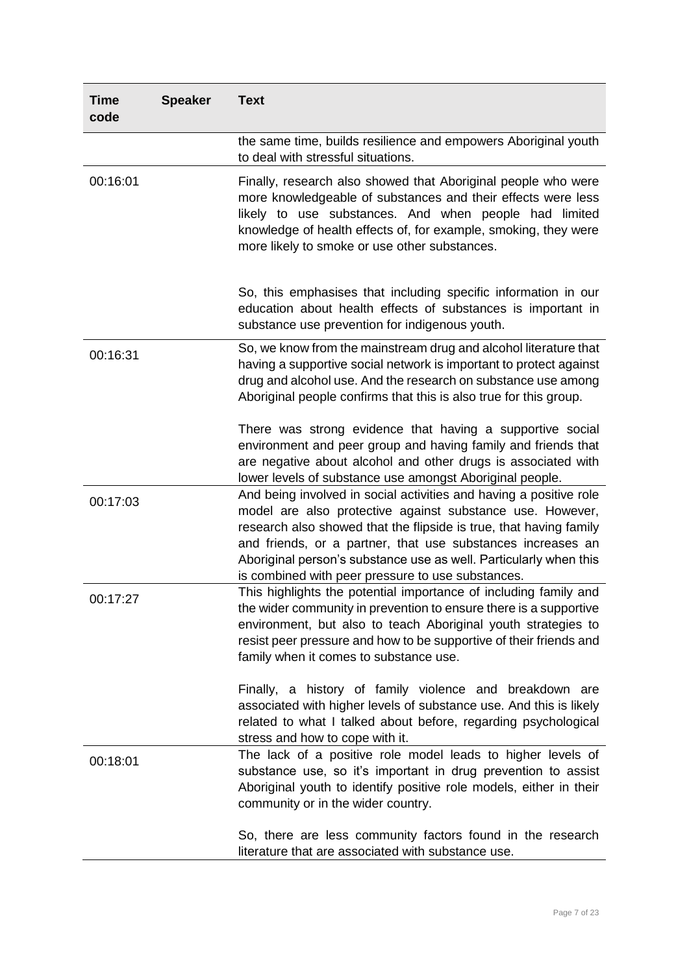| <b>Time</b><br>code | <b>Speaker</b> | <b>Text</b>                                                                                                                                                                                                                                                                                                                                                                                    |
|---------------------|----------------|------------------------------------------------------------------------------------------------------------------------------------------------------------------------------------------------------------------------------------------------------------------------------------------------------------------------------------------------------------------------------------------------|
|                     |                | the same time, builds resilience and empowers Aboriginal youth<br>to deal with stressful situations.                                                                                                                                                                                                                                                                                           |
| 00:16:01            |                | Finally, research also showed that Aboriginal people who were<br>more knowledgeable of substances and their effects were less<br>likely to use substances. And when people had limited<br>knowledge of health effects of, for example, smoking, they were<br>more likely to smoke or use other substances.                                                                                     |
|                     |                | So, this emphasises that including specific information in our<br>education about health effects of substances is important in<br>substance use prevention for indigenous youth.                                                                                                                                                                                                               |
| 00:16:31            |                | So, we know from the mainstream drug and alcohol literature that<br>having a supportive social network is important to protect against<br>drug and alcohol use. And the research on substance use among<br>Aboriginal people confirms that this is also true for this group.                                                                                                                   |
|                     |                | There was strong evidence that having a supportive social<br>environment and peer group and having family and friends that<br>are negative about alcohol and other drugs is associated with<br>lower levels of substance use amongst Aboriginal people.                                                                                                                                        |
| 00:17:03            |                | And being involved in social activities and having a positive role<br>model are also protective against substance use. However,<br>research also showed that the flipside is true, that having family<br>and friends, or a partner, that use substances increases an<br>Aboriginal person's substance use as well. Particularly when this<br>is combined with peer pressure to use substances. |
| 00:17:27            |                | This highlights the potential importance of including family and<br>the wider community in prevention to ensure there is a supportive<br>environment, but also to teach Aboriginal youth strategies to<br>resist peer pressure and how to be supportive of their friends and<br>family when it comes to substance use.                                                                         |
|                     |                | Finally, a history of family violence and breakdown are<br>associated with higher levels of substance use. And this is likely<br>related to what I talked about before, regarding psychological<br>stress and how to cope with it.                                                                                                                                                             |
| 00:18:01            |                | The lack of a positive role model leads to higher levels of<br>substance use, so it's important in drug prevention to assist<br>Aboriginal youth to identify positive role models, either in their<br>community or in the wider country.                                                                                                                                                       |
|                     |                | So, there are less community factors found in the research<br>literature that are associated with substance use.                                                                                                                                                                                                                                                                               |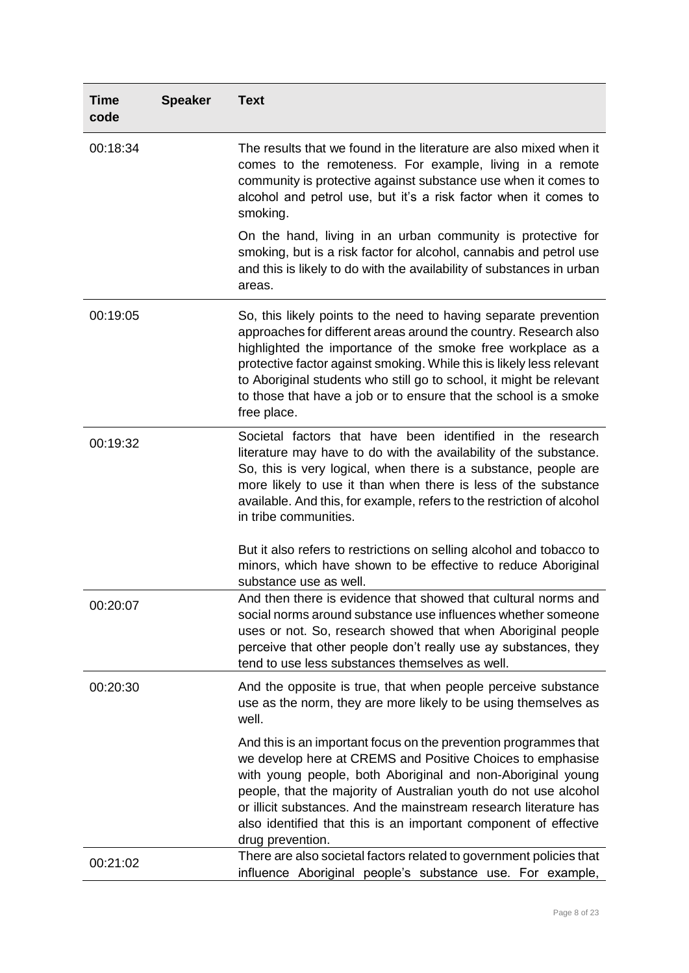| <b>Time</b><br>code | <b>Speaker</b> | <b>Text</b>                                                                                                                                                                                                                                                                                                                                                                                                                            |
|---------------------|----------------|----------------------------------------------------------------------------------------------------------------------------------------------------------------------------------------------------------------------------------------------------------------------------------------------------------------------------------------------------------------------------------------------------------------------------------------|
| 00:18:34            |                | The results that we found in the literature are also mixed when it<br>comes to the remoteness. For example, living in a remote<br>community is protective against substance use when it comes to<br>alcohol and petrol use, but it's a risk factor when it comes to<br>smoking.                                                                                                                                                        |
|                     |                | On the hand, living in an urban community is protective for<br>smoking, but is a risk factor for alcohol, cannabis and petrol use<br>and this is likely to do with the availability of substances in urban<br>areas.                                                                                                                                                                                                                   |
| 00:19:05            |                | So, this likely points to the need to having separate prevention<br>approaches for different areas around the country. Research also<br>highlighted the importance of the smoke free workplace as a<br>protective factor against smoking. While this is likely less relevant<br>to Aboriginal students who still go to school, it might be relevant<br>to those that have a job or to ensure that the school is a smoke<br>free place. |
| 00:19:32            |                | Societal factors that have been identified in the research<br>literature may have to do with the availability of the substance.<br>So, this is very logical, when there is a substance, people are<br>more likely to use it than when there is less of the substance<br>available. And this, for example, refers to the restriction of alcohol<br>in tribe communities.                                                                |
|                     |                | But it also refers to restrictions on selling alcohol and tobacco to<br>minors, which have shown to be effective to reduce Aboriginal<br>substance use as well.                                                                                                                                                                                                                                                                        |
| 00:20:07            |                | And then there is evidence that showed that cultural norms and<br>social norms around substance use influences whether someone<br>uses or not. So, research showed that when Aboriginal people<br>perceive that other people don't really use ay substances, they<br>tend to use less substances themselves as well.                                                                                                                   |
| 00:20:30            |                | And the opposite is true, that when people perceive substance<br>use as the norm, they are more likely to be using themselves as<br>well.                                                                                                                                                                                                                                                                                              |
|                     |                | And this is an important focus on the prevention programmes that<br>we develop here at CREMS and Positive Choices to emphasise<br>with young people, both Aboriginal and non-Aboriginal young<br>people, that the majority of Australian youth do not use alcohol<br>or illicit substances. And the mainstream research literature has<br>also identified that this is an important component of effective<br>drug prevention.         |
| 00:21:02            |                | There are also societal factors related to government policies that<br>influence Aboriginal people's substance use. For example,                                                                                                                                                                                                                                                                                                       |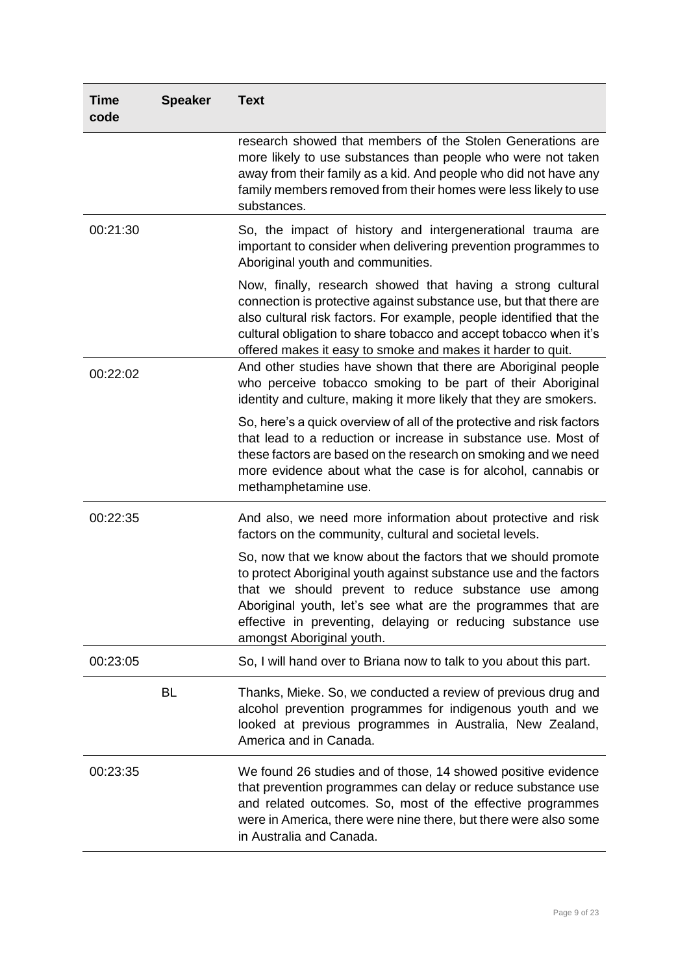| <b>Time</b><br>code | <b>Speaker</b> | <b>Text</b>                                                                                                                                                                                                                                                                                                                                            |
|---------------------|----------------|--------------------------------------------------------------------------------------------------------------------------------------------------------------------------------------------------------------------------------------------------------------------------------------------------------------------------------------------------------|
|                     |                | research showed that members of the Stolen Generations are<br>more likely to use substances than people who were not taken<br>away from their family as a kid. And people who did not have any<br>family members removed from their homes were less likely to use<br>substances.                                                                       |
| 00:21:30            |                | So, the impact of history and intergenerational trauma are<br>important to consider when delivering prevention programmes to<br>Aboriginal youth and communities.                                                                                                                                                                                      |
|                     |                | Now, finally, research showed that having a strong cultural<br>connection is protective against substance use, but that there are<br>also cultural risk factors. For example, people identified that the<br>cultural obligation to share tobacco and accept tobacco when it's<br>offered makes it easy to smoke and makes it harder to quit.           |
| 00:22:02            |                | And other studies have shown that there are Aboriginal people<br>who perceive tobacco smoking to be part of their Aboriginal<br>identity and culture, making it more likely that they are smokers.                                                                                                                                                     |
|                     |                | So, here's a quick overview of all of the protective and risk factors<br>that lead to a reduction or increase in substance use. Most of<br>these factors are based on the research on smoking and we need<br>more evidence about what the case is for alcohol, cannabis or<br>methamphetamine use.                                                     |
| 00:22:35            |                | And also, we need more information about protective and risk<br>factors on the community, cultural and societal levels.                                                                                                                                                                                                                                |
|                     |                | So, now that we know about the factors that we should promote<br>to protect Aboriginal youth against substance use and the factors<br>that we should prevent to reduce substance use among<br>Aboriginal youth, let's see what are the programmes that are<br>effective in preventing, delaying or reducing substance use<br>amongst Aboriginal youth. |
| 00:23:05            |                | So, I will hand over to Briana now to talk to you about this part.                                                                                                                                                                                                                                                                                     |
|                     | <b>BL</b>      | Thanks, Mieke. So, we conducted a review of previous drug and<br>alcohol prevention programmes for indigenous youth and we<br>looked at previous programmes in Australia, New Zealand,<br>America and in Canada.                                                                                                                                       |
| 00:23:35            |                | We found 26 studies and of those, 14 showed positive evidence<br>that prevention programmes can delay or reduce substance use<br>and related outcomes. So, most of the effective programmes<br>were in America, there were nine there, but there were also some<br>in Australia and Canada.                                                            |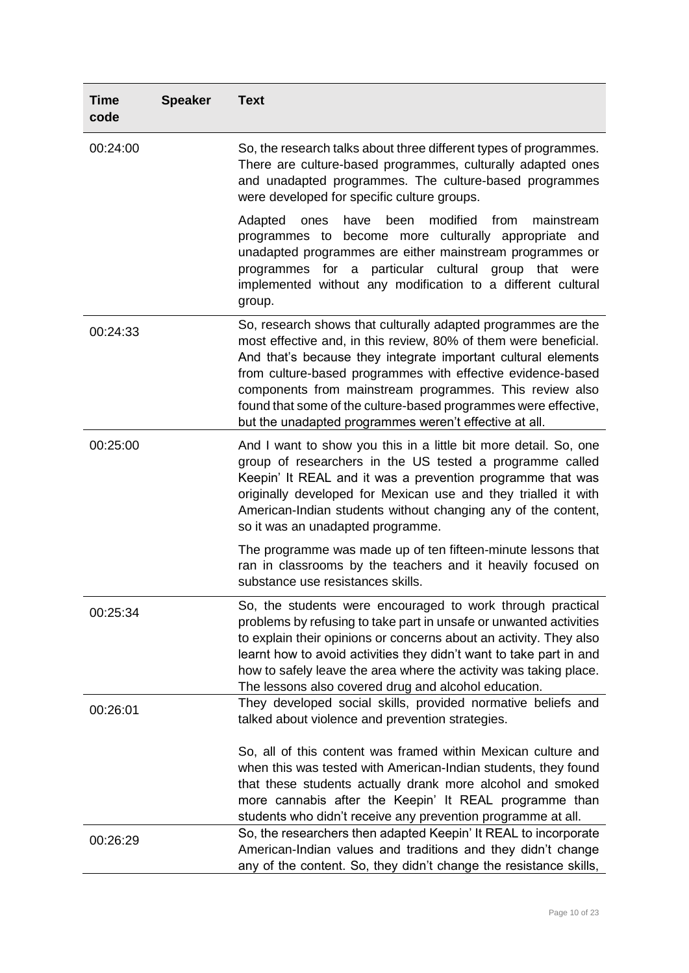| <b>Time</b><br>code | <b>Speaker</b> | <b>Text</b>                                                                                                                                                                                                                                                                                                                                                                                                                                               |
|---------------------|----------------|-----------------------------------------------------------------------------------------------------------------------------------------------------------------------------------------------------------------------------------------------------------------------------------------------------------------------------------------------------------------------------------------------------------------------------------------------------------|
| 00:24:00            |                | So, the research talks about three different types of programmes.<br>There are culture-based programmes, culturally adapted ones<br>and unadapted programmes. The culture-based programmes<br>were developed for specific culture groups.                                                                                                                                                                                                                 |
|                     |                | have<br>been<br>modified<br>from<br>Adapted<br>ones<br>mainstream<br>programmes to become more culturally appropriate and<br>unadapted programmes are either mainstream programmes or<br>programmes for a particular cultural group that were<br>implemented without any modification to a different cultural<br>group.                                                                                                                                   |
| 00:24:33            |                | So, research shows that culturally adapted programmes are the<br>most effective and, in this review, 80% of them were beneficial.<br>And that's because they integrate important cultural elements<br>from culture-based programmes with effective evidence-based<br>components from mainstream programmes. This review also<br>found that some of the culture-based programmes were effective,<br>but the unadapted programmes weren't effective at all. |
| 00:25:00            |                | And I want to show you this in a little bit more detail. So, one<br>group of researchers in the US tested a programme called<br>Keepin' It REAL and it was a prevention programme that was<br>originally developed for Mexican use and they trialled it with<br>American-Indian students without changing any of the content,<br>so it was an unadapted programme.                                                                                        |
|                     |                | The programme was made up of ten fifteen-minute lessons that<br>ran in classrooms by the teachers and it heavily focused on<br>substance use resistances skills.                                                                                                                                                                                                                                                                                          |
| 00:25:34            |                | So, the students were encouraged to work through practical<br>problems by refusing to take part in unsafe or unwanted activities<br>to explain their opinions or concerns about an activity. They also<br>learnt how to avoid activities they didn't want to take part in and<br>how to safely leave the area where the activity was taking place.<br>The lessons also covered drug and alcohol education.                                                |
| 00:26:01            |                | They developed social skills, provided normative beliefs and<br>talked about violence and prevention strategies.                                                                                                                                                                                                                                                                                                                                          |
|                     |                | So, all of this content was framed within Mexican culture and<br>when this was tested with American-Indian students, they found<br>that these students actually drank more alcohol and smoked<br>more cannabis after the Keepin' It REAL programme than<br>students who didn't receive any prevention programme at all.                                                                                                                                   |
| 00:26:29            |                | So, the researchers then adapted Keepin' It REAL to incorporate<br>American-Indian values and traditions and they didn't change<br>any of the content. So, they didn't change the resistance skills,                                                                                                                                                                                                                                                      |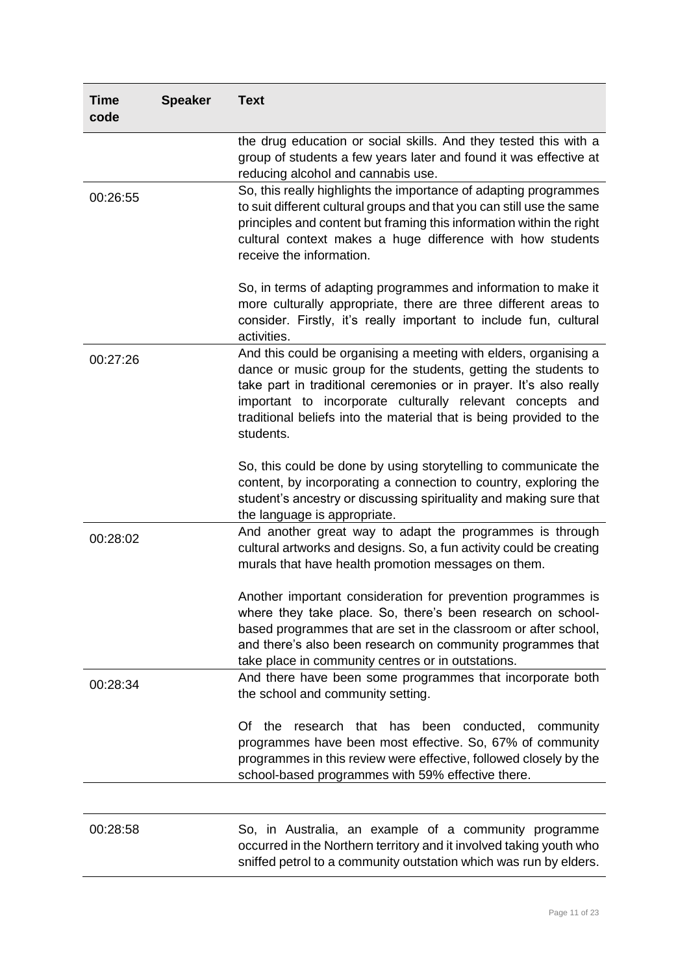| <b>Time</b><br>code | <b>Speaker</b> | <b>Text</b>                                                                                                                                                                                                                                                                                                                                               |
|---------------------|----------------|-----------------------------------------------------------------------------------------------------------------------------------------------------------------------------------------------------------------------------------------------------------------------------------------------------------------------------------------------------------|
|                     |                | the drug education or social skills. And they tested this with a<br>group of students a few years later and found it was effective at<br>reducing alcohol and cannabis use.                                                                                                                                                                               |
| 00:26:55            |                | So, this really highlights the importance of adapting programmes<br>to suit different cultural groups and that you can still use the same<br>principles and content but framing this information within the right<br>cultural context makes a huge difference with how students<br>receive the information.                                               |
|                     |                | So, in terms of adapting programmes and information to make it<br>more culturally appropriate, there are three different areas to<br>consider. Firstly, it's really important to include fun, cultural<br>activities.                                                                                                                                     |
| 00:27:26            |                | And this could be organising a meeting with elders, organising a<br>dance or music group for the students, getting the students to<br>take part in traditional ceremonies or in prayer. It's also really<br>important to incorporate culturally relevant concepts and<br>traditional beliefs into the material that is being provided to the<br>students. |
|                     |                | So, this could be done by using storytelling to communicate the<br>content, by incorporating a connection to country, exploring the<br>student's ancestry or discussing spirituality and making sure that<br>the language is appropriate.                                                                                                                 |
| 00:28:02            |                | And another great way to adapt the programmes is through<br>cultural artworks and designs. So, a fun activity could be creating<br>murals that have health promotion messages on them.                                                                                                                                                                    |
|                     |                | Another important consideration for prevention programmes is<br>where they take place. So, there's been research on school-<br>based programmes that are set in the classroom or after school,<br>and there's also been research on community programmes that<br>take place in community centres or in outstations.                                       |
| 00:28:34            |                | And there have been some programmes that incorporate both<br>the school and community setting.                                                                                                                                                                                                                                                            |
|                     |                | the<br>research that has been conducted, community<br>Of<br>programmes have been most effective. So, 67% of community<br>programmes in this review were effective, followed closely by the<br>school-based programmes with 59% effective there.                                                                                                           |
|                     |                |                                                                                                                                                                                                                                                                                                                                                           |
| 00:28:58            |                | So, in Australia, an example of a community programme<br>occurred in the Northern territory and it involved taking youth who<br>sniffed petrol to a community outstation which was run by elders.                                                                                                                                                         |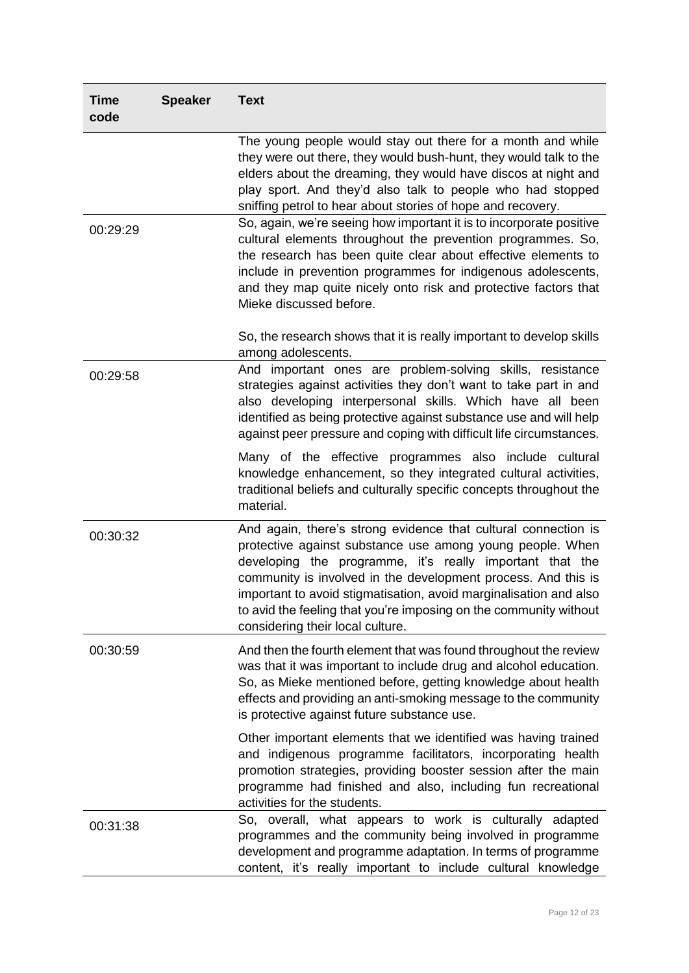| <b>Time</b><br>code | <b>Speaker</b> | <b>Text</b>                                                                                                                                                                                                                                                                                                                                                                                                                            |
|---------------------|----------------|----------------------------------------------------------------------------------------------------------------------------------------------------------------------------------------------------------------------------------------------------------------------------------------------------------------------------------------------------------------------------------------------------------------------------------------|
|                     |                | The young people would stay out there for a month and while<br>they were out there, they would bush-hunt, they would talk to the<br>elders about the dreaming, they would have discos at night and<br>play sport. And they'd also talk to people who had stopped<br>sniffing petrol to hear about stories of hope and recovery.                                                                                                        |
| 00:29:29            |                | So, again, we're seeing how important it is to incorporate positive<br>cultural elements throughout the prevention programmes. So,<br>the research has been quite clear about effective elements to<br>include in prevention programmes for indigenous adolescents,<br>and they map quite nicely onto risk and protective factors that<br>Mieke discussed before.                                                                      |
|                     |                | So, the research shows that it is really important to develop skills<br>among adolescents.                                                                                                                                                                                                                                                                                                                                             |
| 00:29:58            |                | And important ones are problem-solving skills, resistance<br>strategies against activities they don't want to take part in and<br>also developing interpersonal skills. Which have all been<br>identified as being protective against substance use and will help<br>against peer pressure and coping with difficult life circumstances.                                                                                               |
|                     |                | Many of the effective programmes also include cultural<br>knowledge enhancement, so they integrated cultural activities,<br>traditional beliefs and culturally specific concepts throughout the<br>material.                                                                                                                                                                                                                           |
| 00:30:32            |                | And again, there's strong evidence that cultural connection is<br>protective against substance use among young people. When<br>developing the programme, it's really important that the<br>community is involved in the development process. And this is<br>important to avoid stigmatisation, avoid marginalisation and also<br>to avid the feeling that you're imposing on the community without<br>considering their local culture. |
| 00:30:59            |                | And then the fourth element that was found throughout the review<br>was that it was important to include drug and alcohol education.<br>So, as Mieke mentioned before, getting knowledge about health<br>effects and providing an anti-smoking message to the community<br>is protective against future substance use.                                                                                                                 |
|                     |                | Other important elements that we identified was having trained<br>and indigenous programme facilitators, incorporating health<br>promotion strategies, providing booster session after the main<br>programme had finished and also, including fun recreational<br>activities for the students.                                                                                                                                         |
| 00:31:38            |                | So, overall, what appears to work is culturally adapted<br>programmes and the community being involved in programme<br>development and programme adaptation. In terms of programme<br>content, it's really important to include cultural knowledge                                                                                                                                                                                     |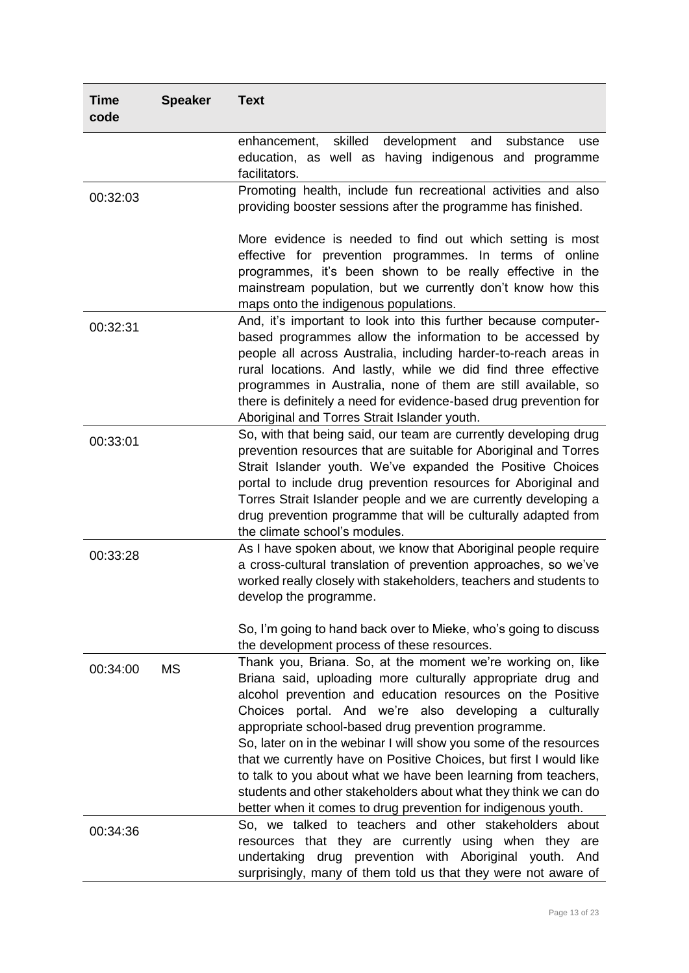| <b>Time</b><br>code | <b>Speaker</b> | <b>Text</b>                                                                                                                                                                                                                                                                                                                                                                                                                                                                                                                                                                                                                                                |
|---------------------|----------------|------------------------------------------------------------------------------------------------------------------------------------------------------------------------------------------------------------------------------------------------------------------------------------------------------------------------------------------------------------------------------------------------------------------------------------------------------------------------------------------------------------------------------------------------------------------------------------------------------------------------------------------------------------|
|                     |                | skilled<br>development<br>and<br>substance<br>enhancement,<br>use<br>education, as well as having indigenous and programme<br>facilitators.                                                                                                                                                                                                                                                                                                                                                                                                                                                                                                                |
| 00:32:03            |                | Promoting health, include fun recreational activities and also<br>providing booster sessions after the programme has finished.                                                                                                                                                                                                                                                                                                                                                                                                                                                                                                                             |
|                     |                | More evidence is needed to find out which setting is most<br>effective for prevention programmes. In terms of online<br>programmes, it's been shown to be really effective in the<br>mainstream population, but we currently don't know how this<br>maps onto the indigenous populations.                                                                                                                                                                                                                                                                                                                                                                  |
| 00:32:31            |                | And, it's important to look into this further because computer-<br>based programmes allow the information to be accessed by<br>people all across Australia, including harder-to-reach areas in<br>rural locations. And lastly, while we did find three effective<br>programmes in Australia, none of them are still available, so<br>there is definitely a need for evidence-based drug prevention for<br>Aboriginal and Torres Strait Islander youth.                                                                                                                                                                                                     |
| 00:33:01            |                | So, with that being said, our team are currently developing drug<br>prevention resources that are suitable for Aboriginal and Torres<br>Strait Islander youth. We've expanded the Positive Choices<br>portal to include drug prevention resources for Aboriginal and<br>Torres Strait Islander people and we are currently developing a<br>drug prevention programme that will be culturally adapted from<br>the climate school's modules.                                                                                                                                                                                                                 |
| 00:33:28            |                | As I have spoken about, we know that Aboriginal people require<br>a cross-cultural translation of prevention approaches, so we've<br>worked really closely with stakeholders, teachers and students to<br>develop the programme.                                                                                                                                                                                                                                                                                                                                                                                                                           |
|                     |                | So, I'm going to hand back over to Mieke, who's going to discuss<br>the development process of these resources.                                                                                                                                                                                                                                                                                                                                                                                                                                                                                                                                            |
| 00:34:00            | <b>MS</b>      | Thank you, Briana. So, at the moment we're working on, like<br>Briana said, uploading more culturally appropriate drug and<br>alcohol prevention and education resources on the Positive<br>Choices portal. And we're also developing a culturally<br>appropriate school-based drug prevention programme.<br>So, later on in the webinar I will show you some of the resources<br>that we currently have on Positive Choices, but first I would like<br>to talk to you about what we have been learning from teachers,<br>students and other stakeholders about what they think we can do<br>better when it comes to drug prevention for indigenous youth. |
| 00:34:36            |                | So, we talked to teachers and other stakeholders about<br>resources that they are currently using when they are<br>undertaking drug prevention with Aboriginal youth. And<br>surprisingly, many of them told us that they were not aware of                                                                                                                                                                                                                                                                                                                                                                                                                |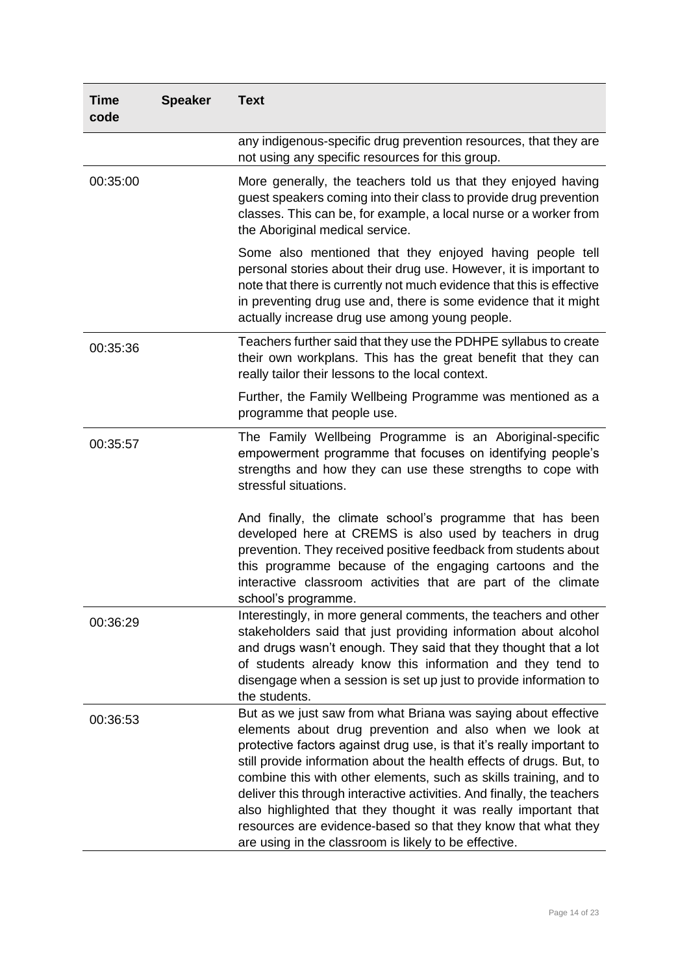| <b>Time</b><br>code | <b>Speaker</b> | <b>Text</b>                                                                                                                                                                                                                                                                                                                                                                                                                                                                                                                                                                                                            |
|---------------------|----------------|------------------------------------------------------------------------------------------------------------------------------------------------------------------------------------------------------------------------------------------------------------------------------------------------------------------------------------------------------------------------------------------------------------------------------------------------------------------------------------------------------------------------------------------------------------------------------------------------------------------------|
|                     |                | any indigenous-specific drug prevention resources, that they are<br>not using any specific resources for this group.                                                                                                                                                                                                                                                                                                                                                                                                                                                                                                   |
| 00:35:00            |                | More generally, the teachers told us that they enjoyed having<br>guest speakers coming into their class to provide drug prevention<br>classes. This can be, for example, a local nurse or a worker from<br>the Aboriginal medical service.                                                                                                                                                                                                                                                                                                                                                                             |
|                     |                | Some also mentioned that they enjoyed having people tell<br>personal stories about their drug use. However, it is important to<br>note that there is currently not much evidence that this is effective<br>in preventing drug use and, there is some evidence that it might<br>actually increase drug use among young people.                                                                                                                                                                                                                                                                                          |
| 00:35:36            |                | Teachers further said that they use the PDHPE syllabus to create<br>their own workplans. This has the great benefit that they can<br>really tailor their lessons to the local context.                                                                                                                                                                                                                                                                                                                                                                                                                                 |
|                     |                | Further, the Family Wellbeing Programme was mentioned as a<br>programme that people use.                                                                                                                                                                                                                                                                                                                                                                                                                                                                                                                               |
| 00:35:57            |                | The Family Wellbeing Programme is an Aboriginal-specific<br>empowerment programme that focuses on identifying people's<br>strengths and how they can use these strengths to cope with<br>stressful situations.                                                                                                                                                                                                                                                                                                                                                                                                         |
|                     |                | And finally, the climate school's programme that has been<br>developed here at CREMS is also used by teachers in drug<br>prevention. They received positive feedback from students about<br>this programme because of the engaging cartoons and the<br>interactive classroom activities that are part of the climate<br>school's programme.                                                                                                                                                                                                                                                                            |
| 00:36:29            |                | Interestingly, in more general comments, the teachers and other<br>stakeholders said that just providing information about alcohol<br>and drugs wasn't enough. They said that they thought that a lot<br>of students already know this information and they tend to<br>disengage when a session is set up just to provide information to<br>the students.                                                                                                                                                                                                                                                              |
| 00:36:53            |                | But as we just saw from what Briana was saying about effective<br>elements about drug prevention and also when we look at<br>protective factors against drug use, is that it's really important to<br>still provide information about the health effects of drugs. But, to<br>combine this with other elements, such as skills training, and to<br>deliver this through interactive activities. And finally, the teachers<br>also highlighted that they thought it was really important that<br>resources are evidence-based so that they know that what they<br>are using in the classroom is likely to be effective. |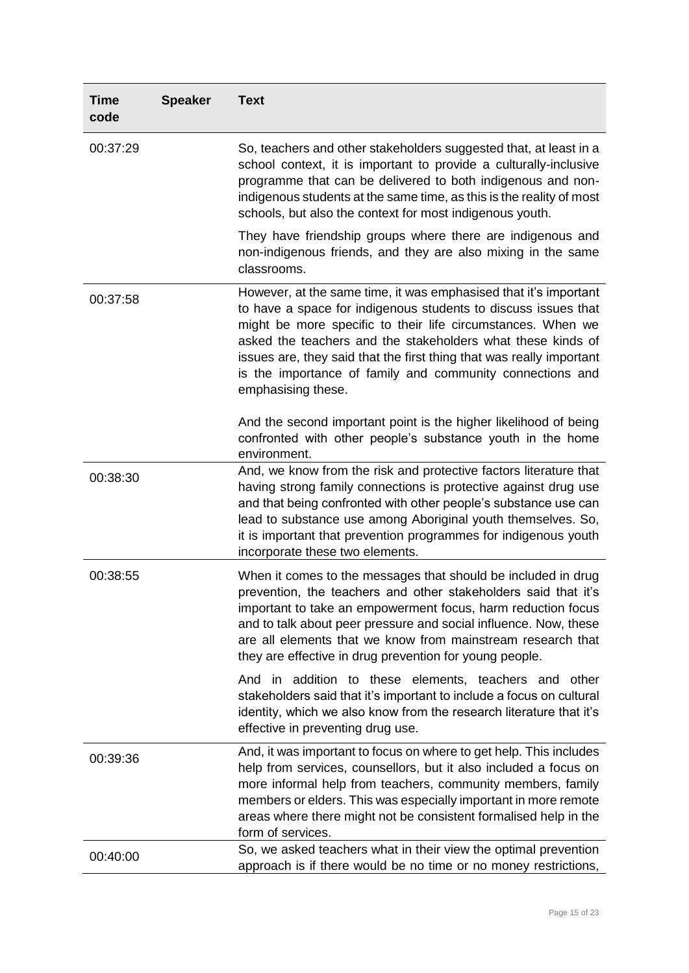| <b>Time</b><br>code | <b>Speaker</b> | <b>Text</b>                                                                                                                                                                                                                                                                                                                                                                                                                 |
|---------------------|----------------|-----------------------------------------------------------------------------------------------------------------------------------------------------------------------------------------------------------------------------------------------------------------------------------------------------------------------------------------------------------------------------------------------------------------------------|
| 00:37:29            |                | So, teachers and other stakeholders suggested that, at least in a<br>school context, it is important to provide a culturally-inclusive<br>programme that can be delivered to both indigenous and non-<br>indigenous students at the same time, as this is the reality of most<br>schools, but also the context for most indigenous youth.                                                                                   |
|                     |                | They have friendship groups where there are indigenous and<br>non-indigenous friends, and they are also mixing in the same<br>classrooms.                                                                                                                                                                                                                                                                                   |
| 00:37:58            |                | However, at the same time, it was emphasised that it's important<br>to have a space for indigenous students to discuss issues that<br>might be more specific to their life circumstances. When we<br>asked the teachers and the stakeholders what these kinds of<br>issues are, they said that the first thing that was really important<br>is the importance of family and community connections and<br>emphasising these. |
|                     |                | And the second important point is the higher likelihood of being<br>confronted with other people's substance youth in the home<br>environment.                                                                                                                                                                                                                                                                              |
| 00:38:30            |                | And, we know from the risk and protective factors literature that<br>having strong family connections is protective against drug use<br>and that being confronted with other people's substance use can<br>lead to substance use among Aboriginal youth themselves. So,<br>it is important that prevention programmes for indigenous youth<br>incorporate these two elements.                                               |
| 00:38:55            |                | When it comes to the messages that should be included in drug<br>prevention, the teachers and other stakeholders said that it's<br>important to take an empowerment focus, harm reduction focus<br>and to talk about peer pressure and social influence. Now, these<br>are all elements that we know from mainstream research that<br>they are effective in drug prevention for young people.                               |
|                     |                | And in addition to these elements, teachers and other<br>stakeholders said that it's important to include a focus on cultural<br>identity, which we also know from the research literature that it's<br>effective in preventing drug use.                                                                                                                                                                                   |
| 00:39:36            |                | And, it was important to focus on where to get help. This includes<br>help from services, counsellors, but it also included a focus on<br>more informal help from teachers, community members, family<br>members or elders. This was especially important in more remote<br>areas where there might not be consistent formalised help in the<br>form of services.                                                           |
| 00:40:00            |                | So, we asked teachers what in their view the optimal prevention<br>approach is if there would be no time or no money restrictions,                                                                                                                                                                                                                                                                                          |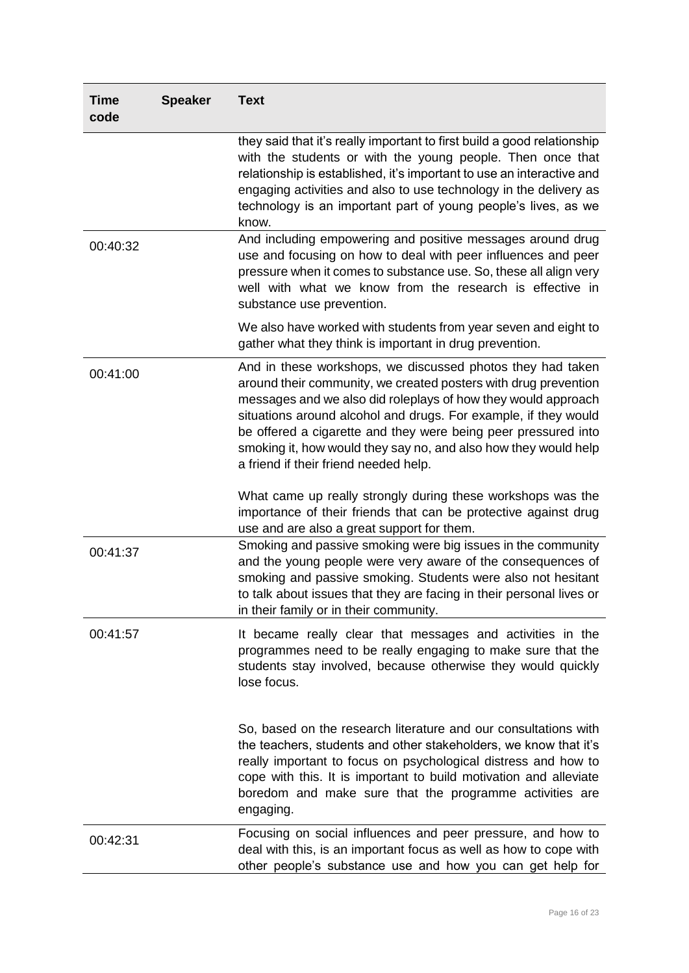| <b>Time</b><br>code | <b>Speaker</b> | <b>Text</b>                                                                                                                                                                                                                                                                                                                                                                                                                                     |
|---------------------|----------------|-------------------------------------------------------------------------------------------------------------------------------------------------------------------------------------------------------------------------------------------------------------------------------------------------------------------------------------------------------------------------------------------------------------------------------------------------|
|                     |                | they said that it's really important to first build a good relationship<br>with the students or with the young people. Then once that<br>relationship is established, it's important to use an interactive and<br>engaging activities and also to use technology in the delivery as<br>technology is an important part of young people's lives, as we<br>know.                                                                                  |
| 00:40:32            |                | And including empowering and positive messages around drug<br>use and focusing on how to deal with peer influences and peer<br>pressure when it comes to substance use. So, these all align very<br>well with what we know from the research is effective in<br>substance use prevention.                                                                                                                                                       |
|                     |                | We also have worked with students from year seven and eight to<br>gather what they think is important in drug prevention.                                                                                                                                                                                                                                                                                                                       |
| 00:41:00            |                | And in these workshops, we discussed photos they had taken<br>around their community, we created posters with drug prevention<br>messages and we also did roleplays of how they would approach<br>situations around alcohol and drugs. For example, if they would<br>be offered a cigarette and they were being peer pressured into<br>smoking it, how would they say no, and also how they would help<br>a friend if their friend needed help. |
|                     |                | What came up really strongly during these workshops was the<br>importance of their friends that can be protective against drug<br>use and are also a great support for them.                                                                                                                                                                                                                                                                    |
| 00:41:37            |                | Smoking and passive smoking were big issues in the community<br>and the young people were very aware of the consequences of<br>smoking and passive smoking. Students were also not hesitant<br>to talk about issues that they are facing in their personal lives or<br>in their family or in their community.                                                                                                                                   |
| 00:41:57            |                | It became really clear that messages and activities in the<br>programmes need to be really engaging to make sure that the<br>students stay involved, because otherwise they would quickly<br>lose focus.                                                                                                                                                                                                                                        |
|                     |                | So, based on the research literature and our consultations with<br>the teachers, students and other stakeholders, we know that it's<br>really important to focus on psychological distress and how to<br>cope with this. It is important to build motivation and alleviate<br>boredom and make sure that the programme activities are<br>engaging.                                                                                              |
| 00:42:31            |                | Focusing on social influences and peer pressure, and how to<br>deal with this, is an important focus as well as how to cope with<br>other people's substance use and how you can get help for                                                                                                                                                                                                                                                   |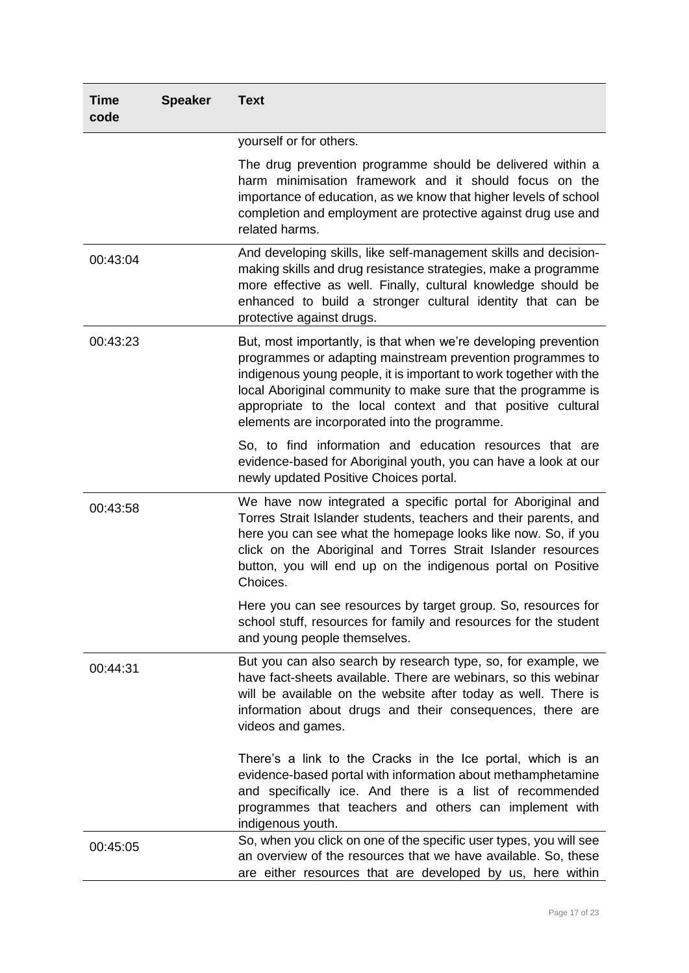| <b>Time</b><br>code | <b>Speaker</b> | <b>Text</b>                                                                                                                                                                                                                                                                                                                                                                          |
|---------------------|----------------|--------------------------------------------------------------------------------------------------------------------------------------------------------------------------------------------------------------------------------------------------------------------------------------------------------------------------------------------------------------------------------------|
|                     |                | yourself or for others.                                                                                                                                                                                                                                                                                                                                                              |
|                     |                | The drug prevention programme should be delivered within a<br>harm minimisation framework and it should focus on the<br>importance of education, as we know that higher levels of school<br>completion and employment are protective against drug use and<br>related harms.                                                                                                          |
| 00:43:04            |                | And developing skills, like self-management skills and decision-<br>making skills and drug resistance strategies, make a programme<br>more effective as well. Finally, cultural knowledge should be<br>enhanced to build a stronger cultural identity that can be<br>protective against drugs.                                                                                       |
| 00:43:23            |                | But, most importantly, is that when we're developing prevention<br>programmes or adapting mainstream prevention programmes to<br>indigenous young people, it is important to work together with the<br>local Aboriginal community to make sure that the programme is<br>appropriate to the local context and that positive cultural<br>elements are incorporated into the programme. |
|                     |                | So, to find information and education resources that are<br>evidence-based for Aboriginal youth, you can have a look at our<br>newly updated Positive Choices portal.                                                                                                                                                                                                                |
| 00:43:58            |                | We have now integrated a specific portal for Aboriginal and<br>Torres Strait Islander students, teachers and their parents, and<br>here you can see what the homepage looks like now. So, if you<br>click on the Aboriginal and Torres Strait Islander resources<br>button, you will end up on the indigenous portal on Positive<br>Choices.                                         |
|                     |                | Here you can see resources by target group. So, resources for<br>school stuff, resources for family and resources for the student<br>and young people themselves.                                                                                                                                                                                                                    |
| 00:44:31            |                | But you can also search by research type, so, for example, we<br>have fact-sheets available. There are webinars, so this webinar<br>will be available on the website after today as well. There is<br>information about drugs and their consequences, there are<br>videos and games.                                                                                                 |
|                     |                | There's a link to the Cracks in the Ice portal, which is an<br>evidence-based portal with information about methamphetamine<br>and specifically ice. And there is a list of recommended<br>programmes that teachers and others can implement with<br>indigenous youth.                                                                                                               |
| 00:45:05            |                | So, when you click on one of the specific user types, you will see<br>an overview of the resources that we have available. So, these<br>are either resources that are developed by us, here within                                                                                                                                                                                   |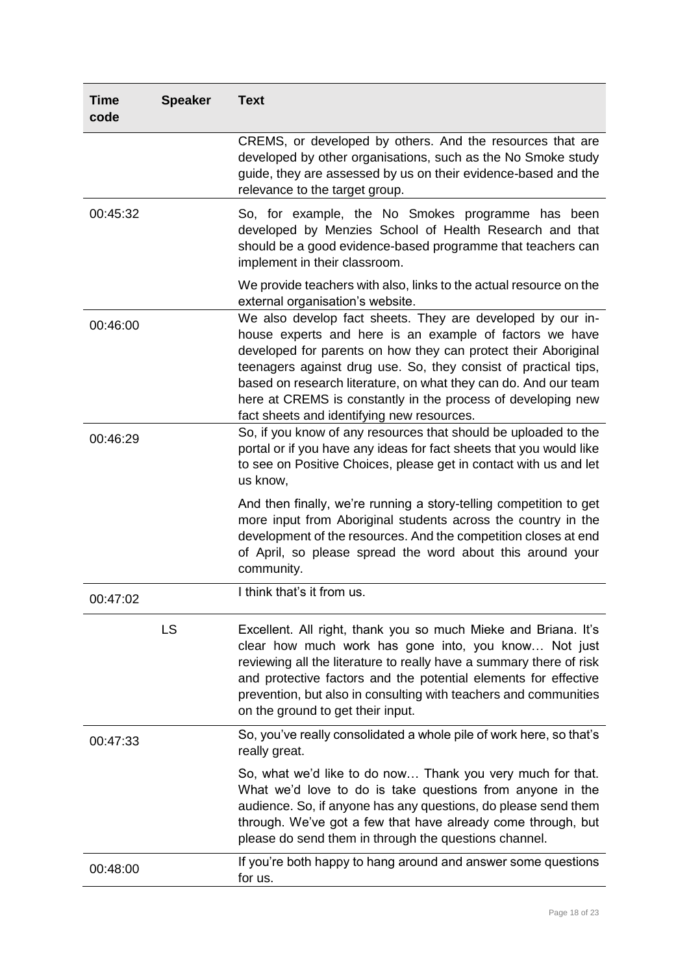| <b>Time</b><br>code | <b>Speaker</b> | <b>Text</b>                                                                                                                                                                                                                                                                                                                                                                                                                                 |
|---------------------|----------------|---------------------------------------------------------------------------------------------------------------------------------------------------------------------------------------------------------------------------------------------------------------------------------------------------------------------------------------------------------------------------------------------------------------------------------------------|
|                     |                | CREMS, or developed by others. And the resources that are<br>developed by other organisations, such as the No Smoke study<br>guide, they are assessed by us on their evidence-based and the<br>relevance to the target group.                                                                                                                                                                                                               |
| 00:45:32            |                | So, for example, the No Smokes programme has been<br>developed by Menzies School of Health Research and that<br>should be a good evidence-based programme that teachers can<br>implement in their classroom.                                                                                                                                                                                                                                |
|                     |                | We provide teachers with also, links to the actual resource on the<br>external organisation's website.                                                                                                                                                                                                                                                                                                                                      |
| 00:46:00            |                | We also develop fact sheets. They are developed by our in-<br>house experts and here is an example of factors we have<br>developed for parents on how they can protect their Aboriginal<br>teenagers against drug use. So, they consist of practical tips,<br>based on research literature, on what they can do. And our team<br>here at CREMS is constantly in the process of developing new<br>fact sheets and identifying new resources. |
| 00:46:29            |                | So, if you know of any resources that should be uploaded to the<br>portal or if you have any ideas for fact sheets that you would like<br>to see on Positive Choices, please get in contact with us and let<br>us know,                                                                                                                                                                                                                     |
|                     |                | And then finally, we're running a story-telling competition to get<br>more input from Aboriginal students across the country in the<br>development of the resources. And the competition closes at end<br>of April, so please spread the word about this around your<br>community.                                                                                                                                                          |
| 00:47:02            |                | I think that's it from us.                                                                                                                                                                                                                                                                                                                                                                                                                  |
|                     | <b>LS</b>      | Excellent. All right, thank you so much Mieke and Briana. It's<br>clear how much work has gone into, you know Not just<br>reviewing all the literature to really have a summary there of risk<br>and protective factors and the potential elements for effective<br>prevention, but also in consulting with teachers and communities<br>on the ground to get their input.                                                                   |
| 00:47:33            |                | So, you've really consolidated a whole pile of work here, so that's<br>really great.                                                                                                                                                                                                                                                                                                                                                        |
|                     |                | So, what we'd like to do now Thank you very much for that.<br>What we'd love to do is take questions from anyone in the<br>audience. So, if anyone has any questions, do please send them<br>through. We've got a few that have already come through, but<br>please do send them in through the questions channel.                                                                                                                          |
| 00:48:00            |                | If you're both happy to hang around and answer some questions<br>for us.                                                                                                                                                                                                                                                                                                                                                                    |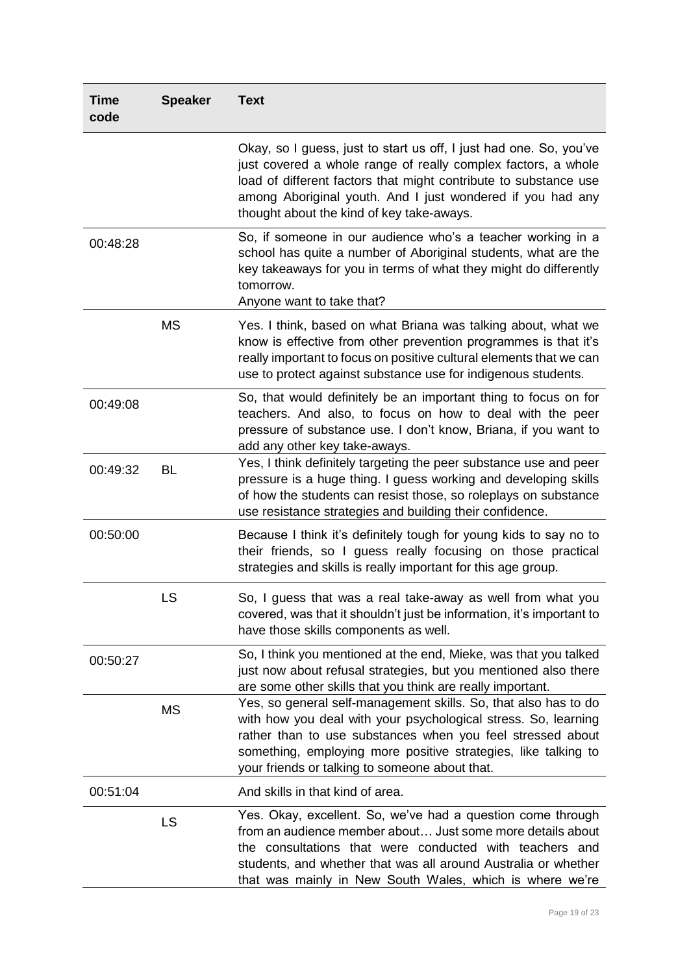| <b>Time</b><br>code | <b>Speaker</b> | <b>Text</b>                                                                                                                                                                                                                                                                                                         |
|---------------------|----------------|---------------------------------------------------------------------------------------------------------------------------------------------------------------------------------------------------------------------------------------------------------------------------------------------------------------------|
|                     |                | Okay, so I guess, just to start us off, I just had one. So, you've<br>just covered a whole range of really complex factors, a whole<br>load of different factors that might contribute to substance use<br>among Aboriginal youth. And I just wondered if you had any<br>thought about the kind of key take-aways.  |
| 00:48:28            |                | So, if someone in our audience who's a teacher working in a<br>school has quite a number of Aboriginal students, what are the<br>key takeaways for you in terms of what they might do differently<br>tomorrow.<br>Anyone want to take that?                                                                         |
|                     | <b>MS</b>      | Yes. I think, based on what Briana was talking about, what we<br>know is effective from other prevention programmes is that it's<br>really important to focus on positive cultural elements that we can<br>use to protect against substance use for indigenous students.                                            |
| 00:49:08            |                | So, that would definitely be an important thing to focus on for<br>teachers. And also, to focus on how to deal with the peer<br>pressure of substance use. I don't know, Briana, if you want to<br>add any other key take-aways.                                                                                    |
| 00:49:32            | BL             | Yes, I think definitely targeting the peer substance use and peer<br>pressure is a huge thing. I guess working and developing skills<br>of how the students can resist those, so roleplays on substance<br>use resistance strategies and building their confidence.                                                 |
| 00:50:00            |                | Because I think it's definitely tough for young kids to say no to<br>their friends, so I guess really focusing on those practical<br>strategies and skills is really important for this age group.                                                                                                                  |
|                     | LS             | So, I guess that was a real take-away as well from what you<br>covered, was that it shouldn't just be information, it's important to<br>have those skills components as well.                                                                                                                                       |
| 00:50:27            |                | So, I think you mentioned at the end, Mieke, was that you talked<br>just now about refusal strategies, but you mentioned also there<br>are some other skills that you think are really important.                                                                                                                   |
|                     | <b>MS</b>      | Yes, so general self-management skills. So, that also has to do<br>with how you deal with your psychological stress. So, learning<br>rather than to use substances when you feel stressed about<br>something, employing more positive strategies, like talking to<br>your friends or talking to someone about that. |
| 00:51:04            |                | And skills in that kind of area.                                                                                                                                                                                                                                                                                    |
|                     | LS             | Yes. Okay, excellent. So, we've had a question come through<br>from an audience member about Just some more details about<br>the consultations that were conducted with teachers and<br>students, and whether that was all around Australia or whether<br>that was mainly in New South Wales, which is where we're  |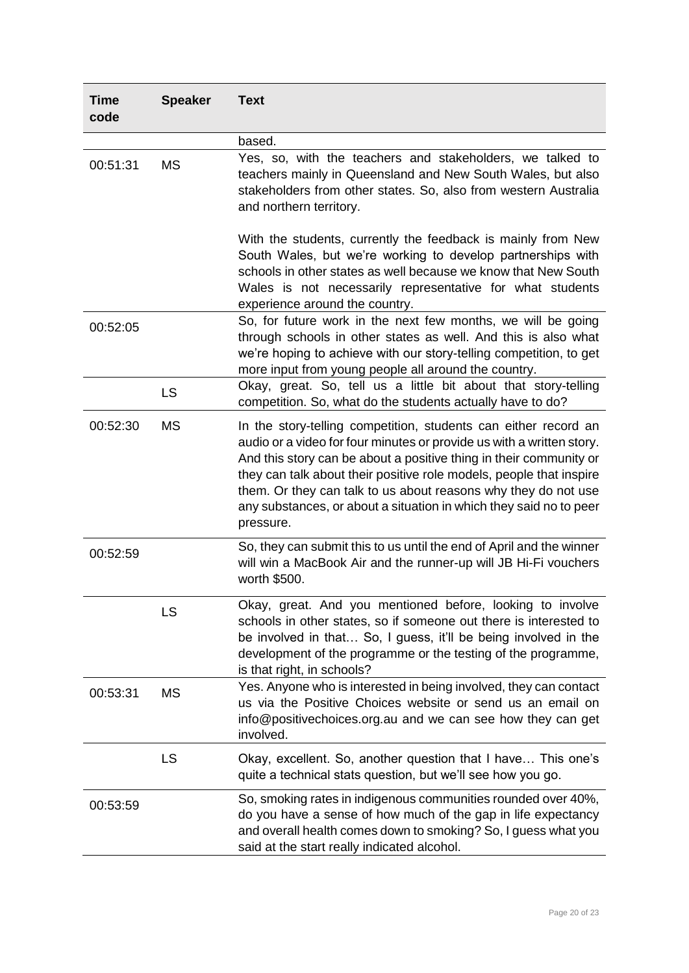| <b>Time</b><br>code | <b>Speaker</b> | <b>Text</b>                                                                                                                                                                                                                                                                                                                                                                                                                                |
|---------------------|----------------|--------------------------------------------------------------------------------------------------------------------------------------------------------------------------------------------------------------------------------------------------------------------------------------------------------------------------------------------------------------------------------------------------------------------------------------------|
|                     |                | based.                                                                                                                                                                                                                                                                                                                                                                                                                                     |
| 00:51:31            | <b>MS</b>      | Yes, so, with the teachers and stakeholders, we talked to<br>teachers mainly in Queensland and New South Wales, but also<br>stakeholders from other states. So, also from western Australia<br>and northern territory.                                                                                                                                                                                                                     |
|                     |                | With the students, currently the feedback is mainly from New<br>South Wales, but we're working to develop partnerships with<br>schools in other states as well because we know that New South<br>Wales is not necessarily representative for what students<br>experience around the country.                                                                                                                                               |
| 00:52:05            |                | So, for future work in the next few months, we will be going<br>through schools in other states as well. And this is also what<br>we're hoping to achieve with our story-telling competition, to get<br>more input from young people all around the country.                                                                                                                                                                               |
|                     | <b>LS</b>      | Okay, great. So, tell us a little bit about that story-telling<br>competition. So, what do the students actually have to do?                                                                                                                                                                                                                                                                                                               |
| 00:52:30            | <b>MS</b>      | In the story-telling competition, students can either record an<br>audio or a video for four minutes or provide us with a written story.<br>And this story can be about a positive thing in their community or<br>they can talk about their positive role models, people that inspire<br>them. Or they can talk to us about reasons why they do not use<br>any substances, or about a situation in which they said no to peer<br>pressure. |
| 00:52:59            |                | So, they can submit this to us until the end of April and the winner<br>will win a MacBook Air and the runner-up will JB Hi-Fi vouchers<br>worth \$500.                                                                                                                                                                                                                                                                                    |
|                     | LS             | Okay, great. And you mentioned before, looking to involve<br>schools in other states, so if someone out there is interested to<br>be involved in that So, I guess, it'll be being involved in the<br>development of the programme or the testing of the programme,<br>is that right, in schools?                                                                                                                                           |
| 00:53:31            | <b>MS</b>      | Yes. Anyone who is interested in being involved, they can contact<br>us via the Positive Choices website or send us an email on<br>info@positivechoices.org.au and we can see how they can get<br>involved.                                                                                                                                                                                                                                |
|                     | LS             | Okay, excellent. So, another question that I have This one's<br>quite a technical stats question, but we'll see how you go.                                                                                                                                                                                                                                                                                                                |
| 00:53:59            |                | So, smoking rates in indigenous communities rounded over 40%,<br>do you have a sense of how much of the gap in life expectancy<br>and overall health comes down to smoking? So, I guess what you<br>said at the start really indicated alcohol.                                                                                                                                                                                            |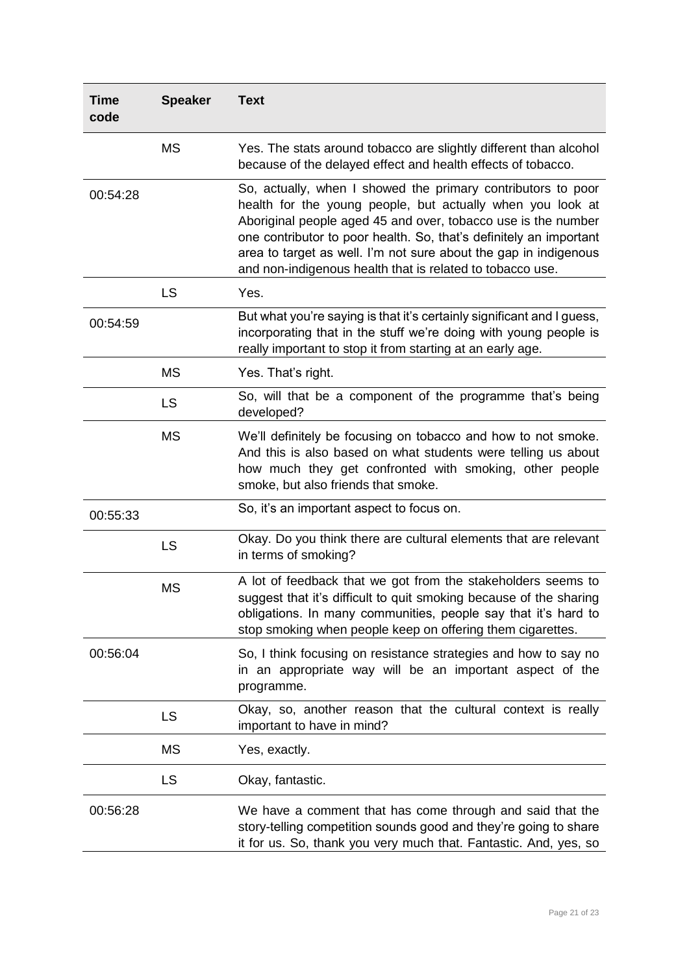| <b>Time</b><br>code | <b>Speaker</b> | <b>Text</b>                                                                                                                                                                                                                                                                                                                                                                                        |
|---------------------|----------------|----------------------------------------------------------------------------------------------------------------------------------------------------------------------------------------------------------------------------------------------------------------------------------------------------------------------------------------------------------------------------------------------------|
|                     | <b>MS</b>      | Yes. The stats around tobacco are slightly different than alcohol<br>because of the delayed effect and health effects of tobacco.                                                                                                                                                                                                                                                                  |
| 00:54:28            |                | So, actually, when I showed the primary contributors to poor<br>health for the young people, but actually when you look at<br>Aboriginal people aged 45 and over, tobacco use is the number<br>one contributor to poor health. So, that's definitely an important<br>area to target as well. I'm not sure about the gap in indigenous<br>and non-indigenous health that is related to tobacco use. |
|                     | LS             | Yes.                                                                                                                                                                                                                                                                                                                                                                                               |
| 00:54:59            |                | But what you're saying is that it's certainly significant and I guess,<br>incorporating that in the stuff we're doing with young people is<br>really important to stop it from starting at an early age.                                                                                                                                                                                           |
|                     | <b>MS</b>      | Yes. That's right.                                                                                                                                                                                                                                                                                                                                                                                 |
|                     | LS             | So, will that be a component of the programme that's being<br>developed?                                                                                                                                                                                                                                                                                                                           |
|                     | <b>MS</b>      | We'll definitely be focusing on tobacco and how to not smoke.<br>And this is also based on what students were telling us about<br>how much they get confronted with smoking, other people<br>smoke, but also friends that smoke.                                                                                                                                                                   |
| 00:55:33            |                | So, it's an important aspect to focus on.                                                                                                                                                                                                                                                                                                                                                          |
|                     | LS             | Okay. Do you think there are cultural elements that are relevant<br>in terms of smoking?                                                                                                                                                                                                                                                                                                           |
|                     | <b>MS</b>      | A lot of feedback that we got from the stakeholders seems to<br>suggest that it's difficult to quit smoking because of the sharing<br>obligations. In many communities, people say that it's hard to<br>stop smoking when people keep on offering them cigarettes.                                                                                                                                 |
| 00:56:04            |                | So, I think focusing on resistance strategies and how to say no<br>in an appropriate way will be an important aspect of the<br>programme.                                                                                                                                                                                                                                                          |
|                     | LS             | Okay, so, another reason that the cultural context is really<br>important to have in mind?                                                                                                                                                                                                                                                                                                         |
|                     | <b>MS</b>      | Yes, exactly.                                                                                                                                                                                                                                                                                                                                                                                      |
|                     | <b>LS</b>      | Okay, fantastic.                                                                                                                                                                                                                                                                                                                                                                                   |
| 00:56:28            |                | We have a comment that has come through and said that the<br>story-telling competition sounds good and they're going to share<br>it for us. So, thank you very much that. Fantastic. And, yes, so                                                                                                                                                                                                  |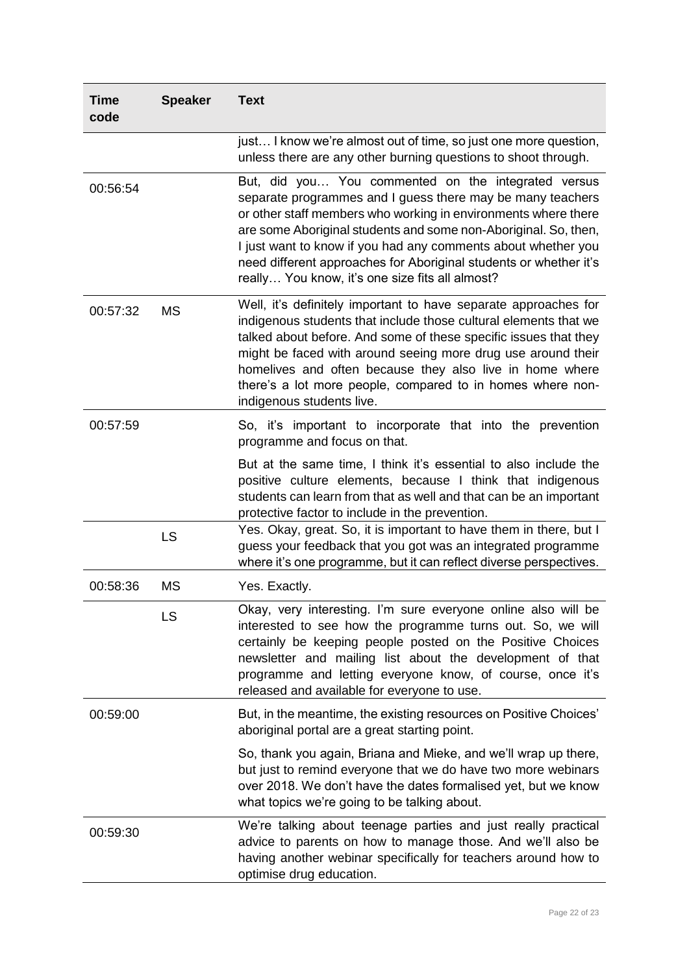| Time<br>code | <b>Speaker</b> | <b>Text</b>                                                                                                                                                                                                                                                                                                                                                                                                                                     |
|--------------|----------------|-------------------------------------------------------------------------------------------------------------------------------------------------------------------------------------------------------------------------------------------------------------------------------------------------------------------------------------------------------------------------------------------------------------------------------------------------|
|              |                | just I know we're almost out of time, so just one more question,<br>unless there are any other burning questions to shoot through.                                                                                                                                                                                                                                                                                                              |
| 00:56:54     |                | But, did you You commented on the integrated versus<br>separate programmes and I guess there may be many teachers<br>or other staff members who working in environments where there<br>are some Aboriginal students and some non-Aboriginal. So, then,<br>I just want to know if you had any comments about whether you<br>need different approaches for Aboriginal students or whether it's<br>really You know, it's one size fits all almost? |
| 00:57:32     | <b>MS</b>      | Well, it's definitely important to have separate approaches for<br>indigenous students that include those cultural elements that we<br>talked about before. And some of these specific issues that they<br>might be faced with around seeing more drug use around their<br>homelives and often because they also live in home where<br>there's a lot more people, compared to in homes where non-<br>indigenous students live.                  |
| 00:57:59     |                | So, it's important to incorporate that into the prevention<br>programme and focus on that.                                                                                                                                                                                                                                                                                                                                                      |
|              |                | But at the same time, I think it's essential to also include the<br>positive culture elements, because I think that indigenous<br>students can learn from that as well and that can be an important<br>protective factor to include in the prevention.                                                                                                                                                                                          |
|              | LS             | Yes. Okay, great. So, it is important to have them in there, but I<br>guess your feedback that you got was an integrated programme<br>where it's one programme, but it can reflect diverse perspectives.                                                                                                                                                                                                                                        |
| 00:58:36     | <b>MS</b>      | Yes. Exactly.                                                                                                                                                                                                                                                                                                                                                                                                                                   |
|              | LS             | Okay, very interesting. I'm sure everyone online also will be<br>interested to see how the programme turns out. So, we will<br>certainly be keeping people posted on the Positive Choices<br>newsletter and mailing list about the development of that<br>programme and letting everyone know, of course, once it's<br>released and available for everyone to use.                                                                              |
| 00:59:00     |                | But, in the meantime, the existing resources on Positive Choices'<br>aboriginal portal are a great starting point.                                                                                                                                                                                                                                                                                                                              |
|              |                | So, thank you again, Briana and Mieke, and we'll wrap up there,<br>but just to remind everyone that we do have two more webinars<br>over 2018. We don't have the dates formalised yet, but we know<br>what topics we're going to be talking about.                                                                                                                                                                                              |
| 00:59:30     |                | We're talking about teenage parties and just really practical<br>advice to parents on how to manage those. And we'll also be<br>having another webinar specifically for teachers around how to<br>optimise drug education.                                                                                                                                                                                                                      |